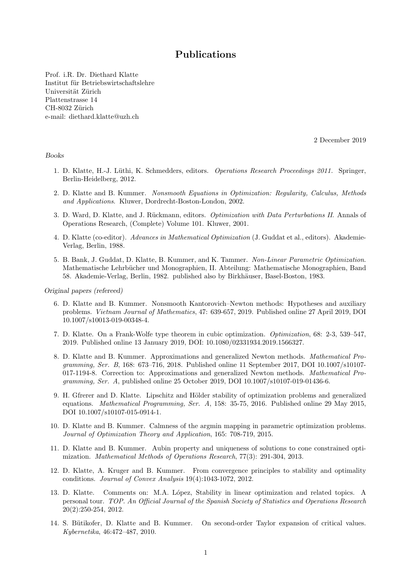## Publications

Prof. i.R. Dr. Diethard Klatte Institut für Betriebswirtschaftslehre Universität Zürich Plattenstrasse 14 CH-8032 Zürich e-mail: diethard.klatte@uzh.ch

2 December 2019

## Books

- 1. D. Klatte, H.-J. Lüthi, K. Schmedders, editors. Operations Research Proceedings 2011. Springer, Berlin-Heidelberg, 2012.
- 2. D. Klatte and B. Kummer. Nonsmooth Equations in Optimization: Regularity, Calculus, Methods and Applications. Kluwer, Dordrecht-Boston-London, 2002.
- 3. D. Ward, D. Klatte, and J. Rückmann, editors. *Optimization with Data Perturbations II*. Annals of Operations Research, (Complete) Volume 101. Kluwer, 2001.
- 4. D. Klatte (co-editor). Advances in Mathematical Optimization (J. Guddat et al., editors). Akademie-Verlag, Berlin, 1988.
- 5. B. Bank, J. Guddat, D. Klatte, B. Kummer, and K. Tammer. Non-Linear Parametric Optimization. Mathematische Lehrbücher und Monographien, II. Abteilung: Mathematische Monographien, Band 58. Akademie-Verlag, Berlin, 1982. published also by Birkhäuser, Basel-Boston, 1983.

. Original papers (refereed)

- 6. D. Klatte and B. Kummer. Nonsmooth Kantorovich–Newton methods: Hypotheses and auxiliary problems. Vietnam Journal of Mathematics, 47: 639-657, 2019. Published online 27 April 2019, DOI 10.1007/s10013-019-00348-4.
- 7. D. Klatte. On a Frank-Wolfe type theorem in cubic optimization. Optimization, 68: 2-3, 539–547, 2019. Published online 13 January 2019, DOI: 10.1080/02331934.2019.1566327.
- 8. D. Klatte and B. Kummer. Approximations and generalized Newton methods. Mathematical Programming, Ser. B, 168: 673–716, 2018. Published online 11 September 2017, DOI 10.1007/s10107- 017-1194-8. Correction to: Approximations and generalized Newton methods. Mathematical Programming, Ser. A, published online 25 October 2019, DOI 10.1007/s10107-019-01436-6.
- 9. H. Gfrerer and D. Klatte. Lipschitz and Hölder stability of optimization problems and generalized equations. Mathematical Programming, Ser. A, 158: 35-75, 2016. Published online 29 May 2015, DOI 10.1007/s10107-015-0914-1.
- 10. D. Klatte and B. Kummer. Calmness of the argmin mapping in parametric optimization problems. Journal of Optimization Theory and Application, 165: 708-719, 2015.
- 11. D. Klatte and B. Kummer. Aubin property and uniqueness of solutions to cone constrained optimization. Mathematical Methods of Operations Research, 77(3): 291-304, 2013.
- 12. D. Klatte, A. Kruger and B. Kummer. From convergence principles to stability and optimality conditions. Journal of Convex Analysis 19(4):1043-1072, 2012.
- 13. D. Klatte. Comments on: M.A. López, Stability in linear optimization and related topics. A personal tour. TOP. An Official Journal of the Spanish Society of Statistics and Operations Research 20(2):250-254, 2012.
- 14. S. Bütikofer, D. Klatte and B. Kummer. On second-order Taylor expansion of critical values. Kybernetika, 46:472–487, 2010.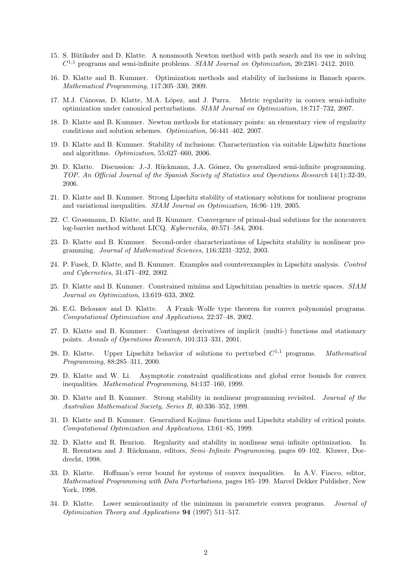- 15. S. Bütikofer and D. Klatte. A nonsmooth Newton method with path search and its use in solving  $C^{1,1}$  programs and semi-infinite problems. SIAM Journal on Optimization, 20:2381-2412, 2010.
- 16. D. Klatte and B. Kummer. Optimization methods and stability of inclusions in Banach spaces. Mathematical Programming, 117:305–330, 2009.
- 17. M.J. Cánovas, D. Klatte, M.A. López, and J. Parra. Metric regularity in convex semi-infinite optimization under canonical perturbations. SIAM Journal on Optimization, 18:717–732, 2007.
- 18. D. Klatte and B. Kummer. Newton methods for stationary points: an elementary view of regularity conditions and solution schemes. Optimization, 56:441–462, 2007.
- 19. D. Klatte and B. Kummer. Stability of inclusions: Characterization via suitable Lipschitz functions and algorithms. Optimization, 55:627–660, 2006.
- 20. D. Klatte. Discussion: J.-J. R¨uckmann, J.A. G´omez, On generalized semi-infinite programming. TOP. An Official Journal of the Spanish Society of Statistics and Operations Research 14(1):32-39, 2006.
- 21. D. Klatte and B. Kummer. Strong Lipschitz stability of stationary solutions for nonlinear programs and variational inequalities. SIAM Journal on Optimization, 16:96–119, 2005.
- 22. C. Grossmann, D. Klatte, and B. Kummer. Convergence of primal-dual solutions for the nonconvex log-barrier method without LICQ. Kybernetika, 40:571–584, 2004.
- 23. D. Klatte and B. Kummer. Second-order characterizations of Lipschitz stability in nonlinear programming. Journal of Mathematical Sciences, 116:3231–3252, 2003.
- 24. P. Fusek, D. Klatte, and B. Kummer. Examples and counterexamples in Lipschitz analysis. Control and Cybernetics, 31:471–492, 2002.
- 25. D. Klatte and B. Kummer. Constrained minima and Lipschitzian penalties in metric spaces. SIAM Journal on Optimization, 13:619–633, 2002.
- 26. E.G. Belousov and D. Klatte. A Frank–Wolfe type theorem for convex polynomial programs. Computational Optimization and Applications, 22:37–48, 2002.
- 27. D. Klatte and B. Kummer. Contingent derivatives of implicit (multi-) functions and stationary points. Annals of Operations Research, 101:313–331, 2001.
- 28. D. Klatte. Upper Lipschitz behavior of solutions to perturbed  $C^{1,1}$  programs. Mathematical Programming, 88:285–311, 2000.
- 29. D. Klatte and W. Li. Asymptotic constraint qualifications and global error bounds for convex inequalities. Mathematical Programming, 84:137–160, 1999.
- 30. D. Klatte and B. Kummer. Strong stability in nonlinear programming revisited. Journal of the Australian Mathematical Society, Series B, 40:336–352, 1999.
- 31. D. Klatte and B. Kummer. Generalized Kojima–functions and Lipschitz stability of critical points. Computational Optimization and Applications, 13:61–85, 1999.
- 32. D. Klatte and R. Henrion. Regularity and stability in nonlinear semi–infinite optimization. In R. Reemtsen and J. Rückmann, editors, Semi-Infinite Programming, pages 69–102. Kluwer, Dordrecht, 1998.
- 33. D. Klatte. Hoffman's error bound for systems of convex inequalities. In A.V. Fiacco, editor, Mathematical Programming with Data Perturbations, pages 185–199. Marcel Dekker Publisher, New York, 1998.
- 34. D. Klatte. Lower semicontinuity of the minimum in parametric convex programs. Journal of , Optimization Theory and Applications 94 (1997) 511–517.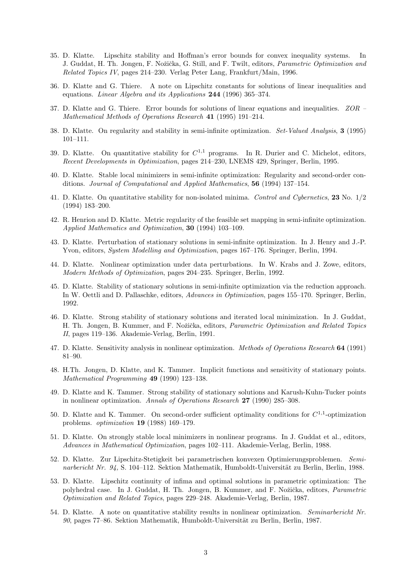- 35. D. Klatte. Lipschitz stability and Hoffman's error bounds for convex inequality systems. In J. Guddat, H. Th. Jongen, F. Nožička, G. Still, and F. Twilt, editors, *Parametric Optimization and* Related Topics IV, pages 214–230. Verlag Peter Lang, Frankfurt/Main, 1996.
- 36. D. Klatte and G. Thiere. A note on Lipschitz constants for solutions of linear inequalities and equations. Linear Algebra and its Applications 244 (1996) 365-374.
- 37. D. Klatte and G. Thiere. Error bounds for solutions of linear equations and inequalities. ZOR , Mathematical Methods of Operations Research 41 (1995) 191–214.
- 38. D. Klatte. On regularity and stability in semi-infinite optimization. Set-Valued Analysis, 3 (1995) 101–111.
- 39. D. Klatte. On quantitative stability for  $C^{1,1}$  programs. In R. Durier and C. Michelot, editors, Recent Developments in Optimization, pages 214–230, LNEMS 429, Springer, Berlin, 1995.
- 40. D. Klatte. Stable local minimizers in semi-infinite optimization: Regularity and second-order conditions. Journal of Computational and Applied Mathematics, 56 (1994) 137–154.
- 41. D. Klatte. On quantitative stability for non-isolated minima. Control and Cybernetics, 23 No. 1/2 (1994) 183–200.
- 42. R. Henrion and D. Klatte. Metric regularity of the feasible set mapping in semi-infinite optimization. Applied Mathematics and Optimization, 30 (1994) 103–109.
- 43. D. Klatte. Perturbation of stationary solutions in semi-infinite optimization. In J. Henry and J.-P. Yvon, editors, System Modelling and Optimization, pages 167–176. Springer, Berlin, 1994.
- 44. D. Klatte. Nonlinear optimization under data perturbations. In W. Krabs and J. Zowe, editors, Modern Methods of Optimization, pages 204–235. Springer, Berlin, 1992.
- 45. D. Klatte. Stability of stationary solutions in semi-infinite optimization via the reduction approach. In W. Oettli and D. Pallaschke, editors, Advances in Optimization, pages 155–170. Springer, Berlin, 1992.
- 46. D. Klatte. Strong stability of stationary solutions and iterated local minimization. In J. Guddat, H. Th. Jongen, B. Kummer, and F. Nožička, editors, *Parametric Optimization and Related Topics* II, pages 119–136. Akademie-Verlag, Berlin, 1991.
- 47. D. Klatte. Sensitivity analysis in nonlinear optimization. *Methods of Operations Research* 64 (1991) 81–90.
- 48. H.Th. Jongen, D. Klatte, and K. Tammer. Implicit functions and sensitivity of stationary points. , Mathematical Programming 49 (1990) 123–138.
- 49. D. Klatte and K. Tammer. Strong stability of stationary solutions and Karush-Kuhn-Tucker points in nonlinear optimization. Annals of Operations Research 27 (1990) 285-308.
- 50. D. Klatte and K. Tammer. On second-order sufficient optimality conditions for  $C^{1,1}$ -optimization , problems. optimization 19 (1988) 169–179.
- 51. D. Klatte. On strongly stable local minimizers in nonlinear programs. In J. Guddat et al., editors, Advances in Mathematical Optimization, pages 102–111. Akademie-Verlag, Berlin, 1988.
- 52. D. Klatte. Zur Lipschitz-Stetigkeit bei parametrischen konvexen Optimierungsproblemen. Seminarbericht Nr. 94, S. 104–112. Sektion Mathematik, Humboldt-Universität zu Berlin, Berlin, 1988.
- 53. D. Klatte. Lipschitz continuity of infima and optimal solutions in parametric optimization: The polyhedral case. In J. Guddat, H. Th. Jongen, B. Kummer, and F. Nožička, editors, Parametric Optimization and Related Topics, pages 229–248. Akademie-Verlag, Berlin, 1987.
- 54. D. Klatte. A note on quantitative stability results in nonlinear optimization. Seminarbericht Nr. 90, pages 77–86. Sektion Mathematik, Humboldt-Universität zu Berlin, Berlin, 1987.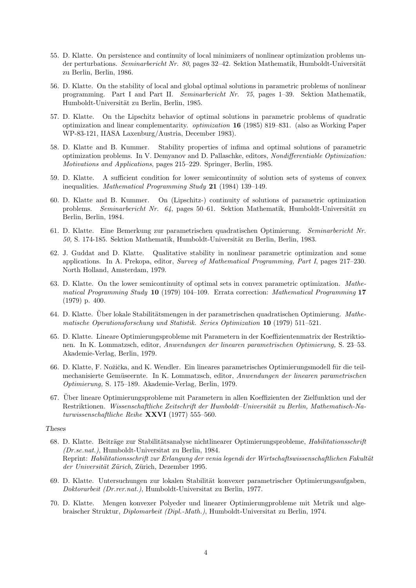- 55. D. Klatte. On persistence and continuity of local minimizers of nonlinear optimization problems under perturbations. Seminarbericht Nr. 80, pages 32–42. Sektion Mathematik, Humboldt-Universität zu Berlin, Berlin, 1986.
- 56. D. Klatte. On the stability of local and global optimal solutions in parametric problems of nonlinear programming. Part I and Part II. Seminarbericht Nr. 75, pages 1–39. Sektion Mathematik, Humboldt-Universität zu Berlin, Berlin, 1985.
- 57. D. Klatte. On the Lipschitz behavior of optimal solutions in parametric problems of quadratic , optimization and linear complementarity. optimization 16 (1985) 819–831. (also as Working Paper WP-83-121, IIASA Laxenburg/Austria, December 1983).
- 58. D. Klatte and B. Kummer. Stability properties of infima and optimal solutions of parametric optimization problems. In V. Demyanov and D. Pallaschke, editors, Nondifferentiable Optimization: Motivations and Applications, pages 215–229. Springer, Berlin, 1985.
- 59. D. Klatte. A sufficient condition for lower semicontinuity of solution sets of systems of convex inequalities. Mathematical Programming Study 21 (1984) 139-149.
- 60. D. Klatte and B. Kummer. On (Lipschitz-) continuity of solutions of parametric optimization problems. Seminarbericht Nr. 64, pages 50–61. Sektion Mathematik, Humboldt-Universität zu Berlin, Berlin, 1984.
- 61. D. Klatte. Eine Bemerkung zur parametrischen quadratischen Optimierung. Seminarbericht Nr. 50, S. 174-185. Sektion Mathematik, Humboldt-Universität zu Berlin, Berlin, 1983.
- 62. J. Guddat and D. Klatte. Qualitative stability in nonlinear parametric optimization and some applications. In A. Prekopa, editor, Survey of Mathematical Programming, Part I, pages 217–230. North Holland, Amsterdam, 1979.
- 63. D. Klatte. On the lower semicontinuity of optimal sets in convex parametric optimization. Mathe- , matical Programming Study 10 (1979) 104–109. Errata correction: Mathematical Programming 17 (1979) p. 400.
- 64. D. Klatte. Über lokale Stabilitätsmengen in der parametrischen quadratischen Optimierung.  $Math$ , matische Operationsforschung und Statistik. Series Optimization 10 (1979) 511–521.
- 65. D. Klatte. Lineare Optimierungsprobleme mit Parametern in der Koeffizientenmatrix der Restriktionen. In K. Lommatzsch, editor, Anwendungen der linearen parametrischen Optimierung, S. 23–53. Akademie-Verlag, Berlin, 1979.
- 66. D. Klatte, F. Nožička, and K. Wendler. Ein lineares parametrisches Optimierungsmodell für die teilmechanisierte Gemüseernte. In K. Lommatzsch, editor, Anwendungen der linearen parametrischen Optimierung, S. 175–189. Akademie-Verlag, Berlin, 1979.
- 67. Uber lineare Optimierungsprobleme mit Parametern in allen Koeffizienten der Zielfunktion und der ¨ Restriktionen. Wissenschaftliche Zeitschrift der Humboldt–Universität zu Berlin, Mathematisch-Na-, turwissenschaftliche Reihe XXVI (1977) 555–560.

## . Theses.

- 68. D. Klatte. Beiträge zur Stabilitätsanalyse nichtlinearer Optimierungsprobleme, Habilitationsschrift (Dr.sc.nat.), Humboldt-Universitat zu Berlin, 1984. Reprint: Habilitationsschrift zur Erlangung der venia legendi der Wirtschaftswissenschaftlichen Fakultät der Universität Zürich, Zürich, Dezember 1995.
- 69. D. Klatte. Untersuchungen zur lokalen Stabilität konvexer parametrischer Optimierungsaufgaben, Doktorarbeit (Dr.rer.nat.), Humboldt-Universitat zu Berlin, 1977.
- 70. D. Klatte. Mengen konvexer Polyeder und linearer Optimierungprobleme mit Metrik und algebraischer Struktur, Diplomarbeit (Dipl.-Math.), Humboldt-Universitat zu Berlin, 1974.